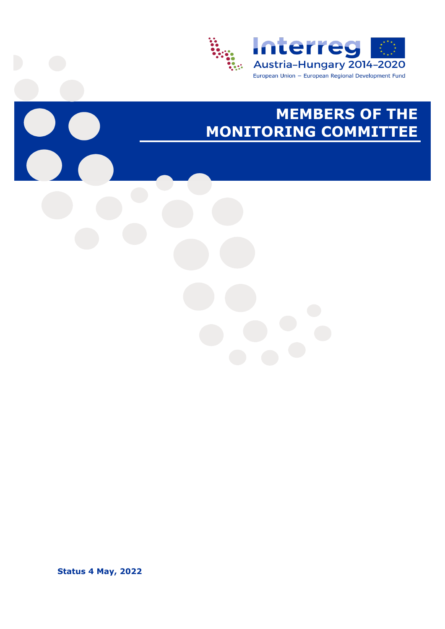

## **MEMBERS OF THE MONITORING COMMITTEE**

**Status 4 May, 2022**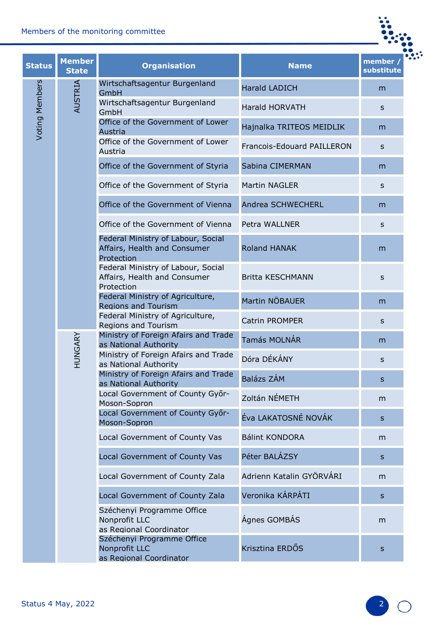| Members of the monitoring committee |                               |                                                                                  |                            |                      |
|-------------------------------------|-------------------------------|----------------------------------------------------------------------------------|----------------------------|----------------------|
| <b>Status</b>                       | <b>Member</b><br><b>State</b> | <b>Organisation</b>                                                              | <b>Name</b>                | member<br>substitute |
|                                     |                               | Wirtschaftsagentur Burgenland<br>GmbH                                            | <b>Harald LADICH</b>       | m                    |
|                                     | AUSTRIA                       | Wirtschaftsagentur Burgenland<br>GmbH                                            | <b>Harald HORVATH</b>      | S                    |
| Voting Members                      |                               | Office of the Government of Lower<br>Austria                                     | Hajnalka TRITEOS MEIDLIK   | m                    |
|                                     |                               | Office of the Government of Lower<br>Austria                                     | Francois-Edouard PAILLERON | s                    |
|                                     |                               | Office of the Government of Styria                                               | Sabina CIMERMAN            | m                    |
|                                     |                               | Office of the Government of Styria                                               | <b>Martin NAGLER</b>       | S                    |
|                                     |                               | Office of the Government of Vienna                                               | Andrea SCHWECHERL          | m                    |
|                                     |                               | Office of the Government of Vienna                                               | Petra WALLNER              | s                    |
|                                     |                               | Federal Ministry of Labour, Social<br>Affairs, Health and Consumer<br>Protection | <b>Roland HANAK</b>        | m                    |
|                                     |                               | Federal Ministry of Labour, Social<br>Affairs, Health and Consumer<br>Protection | <b>Britta KESCHMANN</b>    | s                    |
|                                     |                               | Federal Ministry of Agriculture,<br><b>Regions and Tourism</b>                   | Martin NÖBAUER             | m                    |
|                                     |                               | Federal Ministry of Agriculture,<br><b>Regions and Tourism</b>                   | <b>Catrin PROMPER</b>      | S                    |
|                                     | ARY<br>HUNG                   | Ministry of Foreign Afairs and Trade<br>as National Authority                    | <b>Tamás MOLNÁR</b>        | m                    |
|                                     |                               | Ministry of Foreign Afairs and Trade<br>as National Authority                    | Dóra DÉKÁNY                | S                    |
|                                     |                               | Ministry of Foreign Afairs and Trade<br>as National Authority                    | Balázs ZÁM                 | S                    |
|                                     |                               | Local Government of County Győr-<br>Moson-Sopron                                 | Zoltán NÉMETH              | m                    |
|                                     |                               | Local Government of County Győr-<br>Moson-Sopron                                 | Éva LAKATOSNÉ NOVÁK        | $\mathsf{s}$         |
|                                     |                               | Local Government of County Vas                                                   | <b>Bálint KONDORA</b>      | m                    |
|                                     |                               | Local Government of County Vas                                                   | Péter BALÁZSY              | S                    |
|                                     |                               | Local Government of County Zala                                                  | Adrienn Katalin GYÖRVÁRI   | m                    |
|                                     |                               | Local Government of County Zala                                                  | Veronika KÁRPÁTI           | S                    |
|                                     |                               | Széchenyi Programme Office<br>Nonprofit LLC<br>as Regional Coordinator           | Ágnes GOMBÁS               | m                    |
|                                     |                               | Széchenyi Programme Office<br>Nonprofit LLC<br>as Regional Coordinator           | Krisztina ERDŐS            | S                    |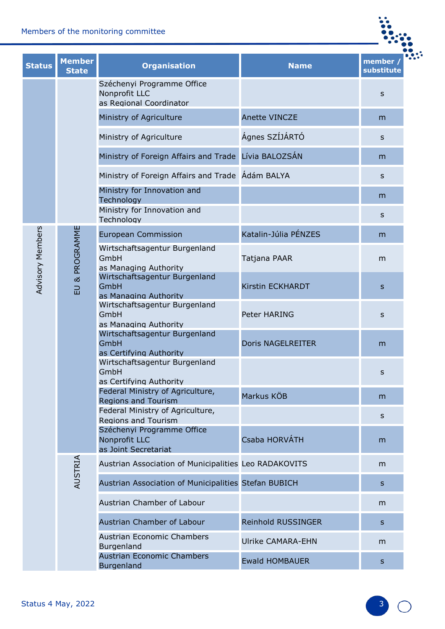| Members of the monitoring committee |                               |                                                                        |                          |                      |
|-------------------------------------|-------------------------------|------------------------------------------------------------------------|--------------------------|----------------------|
| <b>Status</b>                       | <b>Member</b><br><b>State</b> | <b>Organisation</b>                                                    | <b>Name</b>              | member<br>substitute |
|                                     |                               | Széchenyi Programme Office<br>Nonprofit LLC<br>as Regional Coordinator |                          | S                    |
|                                     |                               | Ministry of Agriculture                                                | <b>Anette VINCZE</b>     | m                    |
|                                     |                               | Ministry of Agriculture                                                | Ágnes SZÍJÁRTÓ           | $\mathsf{s}$         |
|                                     |                               | Ministry of Foreign Affairs and Trade Lívia BALOZSÁN                   |                          | m                    |
|                                     |                               | Ministry of Foreign Affairs and Trade Adám BALYA                       |                          | s                    |
|                                     |                               | Ministry for Innovation and<br>Technology                              |                          | m                    |
|                                     |                               | Ministry for Innovation and<br>Technology                              |                          | S                    |
|                                     | EU & PROGRAMME                | <b>European Commission</b>                                             | Katalin-Júlia PÉNZES     | m                    |
| Advisory Members                    |                               | Wirtschaftsagentur Burgenland<br>GmbH<br>as Managing Authority         | Tatjana PAAR             | m                    |
|                                     |                               | Wirtschaftsagentur Burgenland<br>GmbH<br>as Managing Authority         | Kirstin ECKHARDT         | $\mathsf{s}$         |
|                                     |                               | Wirtschaftsagentur Burgenland<br>GmbH<br>as Managing Authority         | Peter HARING             | s                    |
|                                     |                               | Wirtschaftsagentur Burgenland<br>GmbH<br>as Certifying Authority       | <b>Doris NAGELREITER</b> | m                    |
|                                     |                               | Wirtschaftsagentur Burgenland<br>GmbH<br>as Certifying Authority       |                          | s                    |
|                                     |                               | Federal Ministry of Agriculture,<br><b>Regions and Tourism</b>         | Markus KÖB               | m                    |
|                                     |                               | Federal Ministry of Agriculture,<br><b>Regions and Tourism</b>         |                          | S                    |
|                                     |                               | Széchenyi Programme Office<br>Nonprofit LLC<br>as Joint Secretariat    | Csaba HORVÁTH            | m                    |
|                                     |                               | Austrian Association of Municipalities Leo RADAKOVITS                  |                          | m                    |
|                                     | AUSTRIA                       | Austrian Association of Municipalities Stefan BUBICH                   |                          | S                    |
|                                     |                               | Austrian Chamber of Labour                                             |                          | m                    |
|                                     |                               | Austrian Chamber of Labour                                             | Reinhold RUSSINGER       | S                    |
|                                     |                               | Austrian Economic Chambers<br><b>Burgenland</b>                        | <b>Ulrike CAMARA-EHN</b> | m                    |
|                                     |                               | <b>Austrian Economic Chambers</b><br>Burgenland                        | <b>Ewald HOMBAUER</b>    | $\mathsf{S}$         |
|                                     |                               |                                                                        |                          |                      |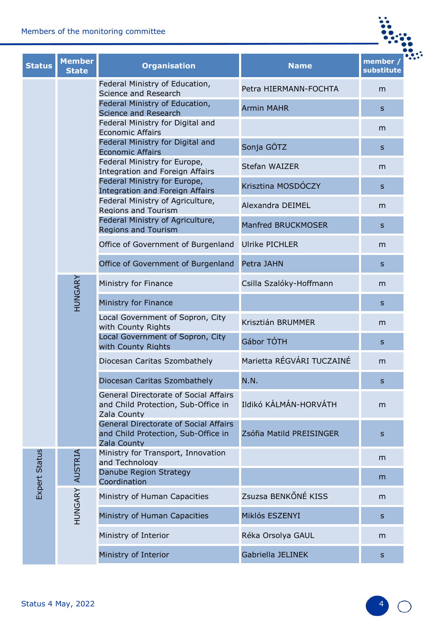|               |                               | Members of the monitoring committee                                                                |                           |                       |
|---------------|-------------------------------|----------------------------------------------------------------------------------------------------|---------------------------|-----------------------|
| <b>Status</b> | <b>Member</b><br><b>State</b> | <b>Organisation</b>                                                                                | <b>Name</b>               | member,<br>substitute |
|               |                               | Federal Ministry of Education,<br>Science and Research                                             | Petra HIERMANN-FOCHTA     | m                     |
|               |                               | Federal Ministry of Education,<br>Science and Research                                             | <b>Armin MAHR</b>         | S.                    |
|               |                               | Federal Ministry for Digital and<br><b>Economic Affairs</b>                                        |                           | m                     |
|               |                               | Federal Ministry for Digital and<br><b>Economic Affairs</b>                                        | Sonja GÖTZ                | $\mathsf{s}$          |
|               |                               | Federal Ministry for Europe,<br><b>Integration and Foreign Affairs</b>                             | Stefan WAIZER             | m                     |
|               |                               | Federal Ministry for Europe,<br><b>Integration and Foreign Affairs</b>                             | Krisztina MOSDÓCZY        | $\mathsf{s}$          |
|               |                               | Federal Ministry of Agriculture,<br><b>Regions and Tourism</b>                                     | Alexandra DEIMEL          | m                     |
|               |                               | Federal Ministry of Agriculture,<br><b>Regions and Tourism</b>                                     | Manfred BRUCKMOSER        | $\mathsf{S}$          |
|               |                               | Office of Government of Burgenland                                                                 | <b>Ulrike PICHLER</b>     | m                     |
|               |                               | Office of Government of Burgenland                                                                 | Petra JAHN                | $\mathsf{s}$          |
|               |                               | Ministry for Finance                                                                               | Csilla Szalóky-Hoffmann   | m                     |
|               | HUNGARY                       | Ministry for Finance                                                                               |                           | $\mathsf{s}$          |
|               |                               | Local Government of Sopron, City<br>with County Rights                                             | Krisztián BRUMMER         | m                     |
|               |                               | Local Government of Sopron, City<br>with County Rights                                             | Gábor TÓTH                | S                     |
|               |                               | Diocesan Caritas Szombathely                                                                       | Marietta RÉGVÁRI TUCZAINÉ | m                     |
|               |                               | Diocesan Caritas Szombathely                                                                       | N.N.                      | S                     |
|               |                               | <b>General Directorate of Social Affairs</b><br>and Child Protection, Sub-Office in<br>Zala County | Ildikó KÁLMÁN-HORVÁTH     | m                     |
|               |                               | <b>General Directorate of Social Affairs</b><br>and Child Protection, Sub-Office in<br>Zala County | Zsófia Matild PREISINGER  | $\sf S$               |
| Expert Status | <b>AUSTRIA</b>                | Ministry for Transport, Innovation<br>and Technology                                               |                           | m                     |
|               |                               | Danube Region Strategy<br>Coordination                                                             |                           | m                     |
|               | <b>HUNGARY</b>                | Ministry of Human Capacities                                                                       | Zsuzsa BENKŐNÉ KISS       | m                     |
|               |                               | Ministry of Human Capacities                                                                       | Miklós ESZENYI            | S                     |
|               |                               | Ministry of Interior                                                                               | Réka Orsolya GAUL         | m                     |
|               |                               | Ministry of Interior                                                                               | Gabriella JELINEK         | $\mathsf{s}$          |